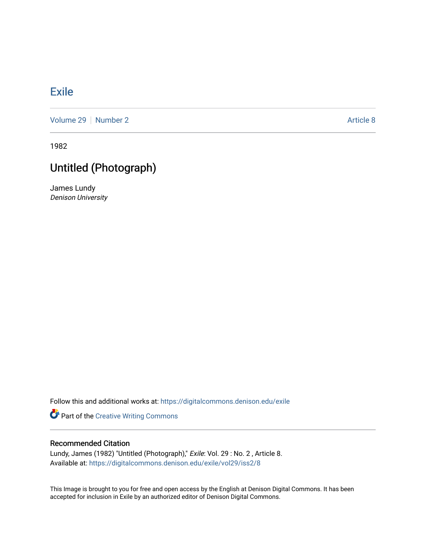## [Exile](https://digitalcommons.denison.edu/exile)

[Volume 29](https://digitalcommons.denison.edu/exile/vol29) | [Number 2](https://digitalcommons.denison.edu/exile/vol29/iss2) Article 8

1982

## Untitled (Photograph)

James Lundy Denison University

Follow this and additional works at: [https://digitalcommons.denison.edu/exile](https://digitalcommons.denison.edu/exile?utm_source=digitalcommons.denison.edu%2Fexile%2Fvol29%2Fiss2%2F8&utm_medium=PDF&utm_campaign=PDFCoverPages) 

Part of the [Creative Writing Commons](http://network.bepress.com/hgg/discipline/574?utm_source=digitalcommons.denison.edu%2Fexile%2Fvol29%2Fiss2%2F8&utm_medium=PDF&utm_campaign=PDFCoverPages) 

## Recommended Citation

Lundy, James (1982) "Untitled (Photograph)," Exile: Vol. 29 : No. 2, Article 8. Available at: [https://digitalcommons.denison.edu/exile/vol29/iss2/8](https://digitalcommons.denison.edu/exile/vol29/iss2/8?utm_source=digitalcommons.denison.edu%2Fexile%2Fvol29%2Fiss2%2F8&utm_medium=PDF&utm_campaign=PDFCoverPages) 

This Image is brought to you for free and open access by the English at Denison Digital Commons. It has been accepted for inclusion in Exile by an authorized editor of Denison Digital Commons.